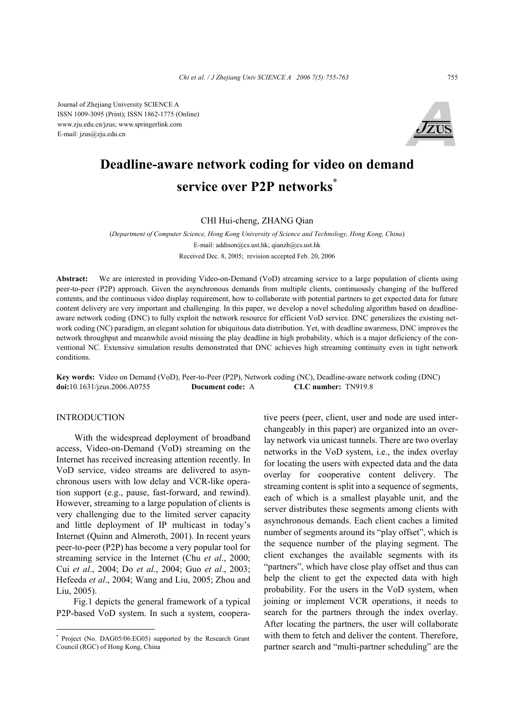Journal of Zhejiang University SCIENCE A ISSN 1009-3095 (Print); ISSN 1862-1775 (Online) www.zju.edu.cn/jzus; www.springerlink.com E-mail: jzus@zju.edu.cn



# **Deadline-aware network coding for video on demand service over P2P networks\***

# CHI Hui-cheng, ZHANG Qian

(*Department of Computer Science, Hong Kong University of Science and Technology, Hong Kong, China*) E-mail: addison@cs.ust.hk; qianzh@cs.ust.hk Received Dec. 8, 2005; revision accepted Feb. 20, 2006

**Abstract:** We are interested in providing Video-on-Demand (VoD) streaming service to a large population of clients using peer-to-peer (P2P) approach. Given the asynchronous demands from multiple clients, continuously changing of the buffered contents, and the continuous video display requirement, how to collaborate with potential partners to get expected data for future content delivery are very important and challenging. In this paper, we develop a novel scheduling algorithm based on deadlineaware network coding (DNC) to fully exploit the network resource for efficient VoD service. DNC generalizes the existing network coding (NC) paradigm, an elegant solution for ubiquitous data distribution. Yet, with deadline awareness, DNC improves the network throughput and meanwhile avoid missing the play deadline in high probability, which is a major deficiency of the conventional NC. Extensive simulation results demonstrated that DNC achieves high streaming continuity even in tight network conditions.

**Key words:** Video on Demand (VoD), Peer-to-Peer (P2P), Network coding (NC), Deadline-aware network coding (DNC) **doi:**10.1631/jzus.2006.A0755 **Document code:** A **CLC number:** TN919.8

# INTRODUCTION

With the widespread deployment of broadband access, Video-on-Demand (VoD) streaming on the Internet has received increasing attention recently. In VoD service, video streams are delivered to asynchronous users with low delay and VCR-like operation support (e.g., pause, fast-forward, and rewind). However, streaming to a large population of clients is very challenging due to the limited server capacity and little deployment of IP multicast in today's Internet (Quinn and Almeroth, 2001). In recent years peer-to-peer (P2P) has become a very popular tool for streaming service in the Internet (Chu *et al*., 2000; Cui *et al*., 2004; Do *et al*., 2004; Guo *et al*., 2003; Hefeeda *et al*., 2004; Wang and Liu, 2005; Zhou and Liu, 2005).

Fig.1 depicts the general framework of a typical P2P-based VoD system. In such a system, cooperative peers (peer, client, user and node are used interchangeably in this paper) are organized into an overlay network via unicast tunnels. There are two overlay networks in the VoD system, i.e., the index overlay for locating the users with expected data and the data overlay for cooperative content delivery. The streaming content is split into a sequence of segments, each of which is a smallest playable unit, and the server distributes these segments among clients with asynchronous demands. Each client caches a limited number of segments around its "play offset", which is the sequence number of the playing segment. The client exchanges the available segments with its "partners", which have close play offset and thus can help the client to get the expected data with high probability. For the users in the VoD system, when joining or implement VCR operations, it needs to search for the partners through the index overlay. After locating the partners, the user will collaborate with them to fetch and deliver the content. Therefore, partner search and "multi-partner scheduling" are the

<sup>\*</sup> Project (No. DAG05/06.EG05) supported by the Research Grant Council (RGC) of Hong Kong, China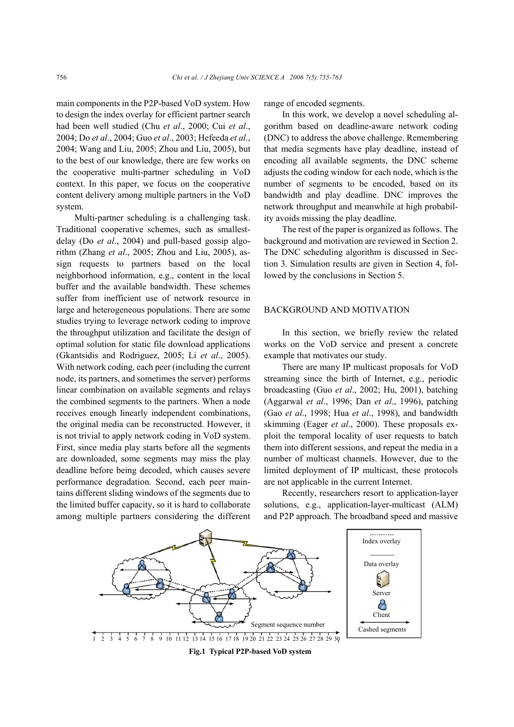main components in the P2P-based VoD system. How to design the index overlay for efficient partner search had been well studied (Chu *et al*., 2000; Cui *et al*., 2004; Do *et al*., 2004; Guo *et al*., 2003; Hefeeda *et al*., 2004; Wang and Liu, 2005; Zhou and Liu, 2005), but to the best of our knowledge, there are few works on the cooperative multi-partner scheduling in VoD context. In this paper, we focus on the cooperative content delivery among multiple partners in the VoD system.

Multi-partner scheduling is a challenging task. Traditional cooperative schemes, such as smallestdelay (Do *et al*., 2004) and pull-based gossip algorithm (Zhang *et al*., 2005; Zhou and Liu, 2005), assign requests to partners based on the local neighborhood information, e.g., content in the local buffer and the available bandwidth. These schemes suffer from inefficient use of network resource in large and heterogeneous populations. There are some studies trying to leverage network coding to improve the throughput utilization and facilitate the design of optimal solution for static file download applications (Gkantsidis and Rodriguez, 2005; Li *et al*., 2005). With network coding, each peer (including the current node, its partners, and sometimes the server) performs linear combination on available segments and relays the combined segments to the partners. When a node receives enough linearly independent combinations, the original media can be reconstructed. However, it is not trivial to apply network coding in VoD system. First, since media play starts before all the segments are downloaded, some segments may miss the play deadline before being decoded, which causes severe performance degradation. Second, each peer maintains different sliding windows of the segments due to the limited buffer capacity, so it is hard to collaborate among multiple partners considering the different range of encoded segments.

In this work, we develop a novel scheduling algorithm based on deadline-aware network coding (DNC) to address the above challenge. Remembering that media segments have play deadline, instead of encoding all available segments, the DNC scheme adjusts the coding window for each node, which is the number of segments to be encoded, based on its bandwidth and play deadline. DNC improves the network throughput and meanwhile at high probability avoids missing the play deadline.

The rest of the paper is organized as follows. The background and motivation are reviewed in Section 2. The DNC scheduling algorithm is discussed in Section 3. Simulation results are given in Section 4, followed by the conclusions in Section 5.

# BACKGROUND AND MOTIVATION

In this section, we briefly review the related works on the VoD service and present a concrete example that motivates our study.

There are many IP multicast proposals for VoD streaming since the birth of Internet, e.g., periodic broadcasting (Guo *et al*., 2002; Hu, 2001), batching (Aggarwal *et al*., 1996; Dan *et al*., 1996), patching (Gao *et al*., 1998; Hua *et al*., 1998), and bandwidth skimming (Eager *et al*., 2000). These proposals exploit the temporal locality of user requests to batch them into different sessions, and repeat the media in a number of multicast channels. However, due to the limited deployment of IP multicast, these protocols are not applicable in the current Internet.

Recently, researchers resort to application-layer solutions, e.g., application-layer-multicast (ALM) and P2P approach. The broadband speed and massive



**Fig.1 Typical P2P-based VoD system**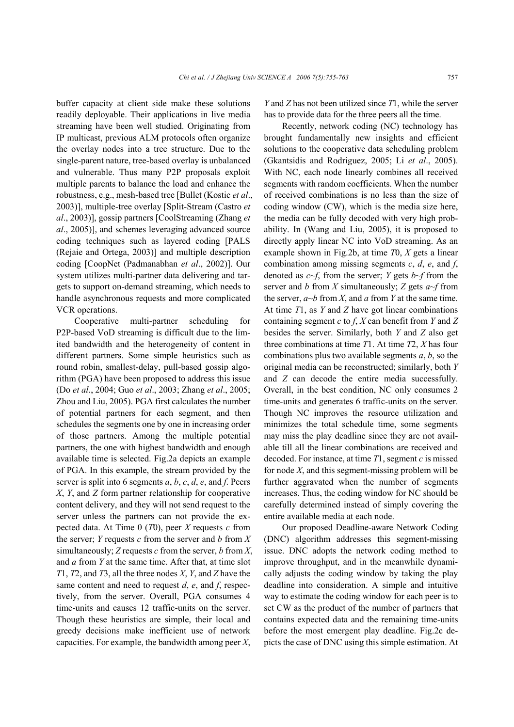buffer capacity at client side make these solutions readily deployable. Their applications in live media streaming have been well studied. Originating from IP multicast, previous ALM protocols often organize the overlay nodes into a tree structure. Due to the single-parent nature, tree-based overlay is unbalanced and vulnerable. Thus many P2P proposals exploit multiple parents to balance the load and enhance the robustness, e.g., mesh-based tree [Bullet (Kostic *et al*., 2003)], multiple-tree overlay [Split-Stream (Castro *et al*., 2003)], gossip partners [CoolStreaming (Zhang *et al*., 2005)], and schemes leveraging advanced source coding techniques such as layered coding [PALS (Rejaie and Ortega, 2003)] and multiple description coding [CoopNet (Padmanabhan *et al*., 2002)]. Our system utilizes multi-partner data delivering and targets to support on-demand streaming, which needs to handle asynchronous requests and more complicated VCR operations.

Cooperative multi-partner scheduling for P2P-based VoD streaming is difficult due to the limited bandwidth and the heterogeneity of content in different partners. Some simple heuristics such as round robin, smallest-delay, pull-based gossip algorithm (PGA) have been proposed to address this issue (Do *et al*., 2004; Guo *et al*., 2003; Zhang *et al*., 2005; Zhou and Liu, 2005). PGA first calculates the number of potential partners for each segment, and then schedules the segments one by one in increasing order of those partners. Among the multiple potential partners, the one with highest bandwidth and enough available time is selected. Fig.2a depicts an example of PGA. In this example, the stream provided by the server is split into 6 segments *a*, *b*, *c*, *d*, *e*, and *f*. Peers *X*, *Y*, and *Z* form partner relationship for cooperative content delivery, and they will not send request to the server unless the partners can not provide the expected data. At Time 0 (*T*0), peer *X* requests *c* from the server; *Y* requests *c* from the server and *b* from *X* simultaneously; *Z* requests *c* from the server, *b* from *X*, and *a* from *Y* at the same time. After that, at time slot *T*1, *T*2, and *T*3, all the three nodes *X*, *Y*, and *Z* have the same content and need to request *d*, *e*, and *f*, respectively, from the server. Overall, PGA consumes 4 time-units and causes 12 traffic-units on the server. Though these heuristics are simple, their local and greedy decisions make inefficient use of network capacities. For example, the bandwidth among peer *X*,

*Y* and *Z* has not been utilized since *T*1, while the server has to provide data for the three peers all the time.

Recently, network coding (NC) technology has brought fundamentally new insights and efficient solutions to the cooperative data scheduling problem (Gkantsidis and Rodriguez, 2005; Li *et al*., 2005). With NC, each node linearly combines all received segments with random coefficients. When the number of received combinations is no less than the size of coding window (CW), which is the media size here, the media can be fully decoded with very high probability. In (Wang and Liu, 2005), it is proposed to directly apply linear NC into VoD streaming. As an example shown in Fig.2b, at time *T*0, *X* gets a linear combination among missing segments *c*, *d*, *e*, and *f*, denoted as  $c \sim f$ , from the server; *Y* gets  $b \sim f$  from the server and *b* from *X* simultaneously; *Z* gets  $a \sim f$  from the server,  $a \sim b$  from *X*, and *a* from *Y* at the same time. At time *T*1, as *Y* and *Z* have got linear combinations containing segment *c* to *f*, *X* can benefit from *Y* and *Z* besides the server. Similarly, both *Y* and *Z* also get three combinations at time *T*1. At time *T*2, *X* has four combinations plus two available segments *a*, *b*, so the original media can be reconstructed; similarly, both *Y* and *Z* can decode the entire media successfully. Overall, in the best condition, NC only consumes 2 time-units and generates 6 traffic-units on the server. Though NC improves the resource utilization and minimizes the total schedule time, some segments may miss the play deadline since they are not available till all the linear combinations are received and decoded. For instance, at time *T*1, segment *c* is missed for node *X*, and this segment-missing problem will be further aggravated when the number of segments increases. Thus, the coding window for NC should be carefully determined instead of simply covering the entire available media at each node.

Our proposed Deadline-aware Network Coding (DNC) algorithm addresses this segment-missing issue. DNC adopts the network coding method to improve throughput, and in the meanwhile dynamically adjusts the coding window by taking the play deadline into consideration. A simple and intuitive way to estimate the coding window for each peer is to set CW as the product of the number of partners that contains expected data and the remaining time-units before the most emergent play deadline. Fig.2c depicts the case of DNC using this simple estimation. At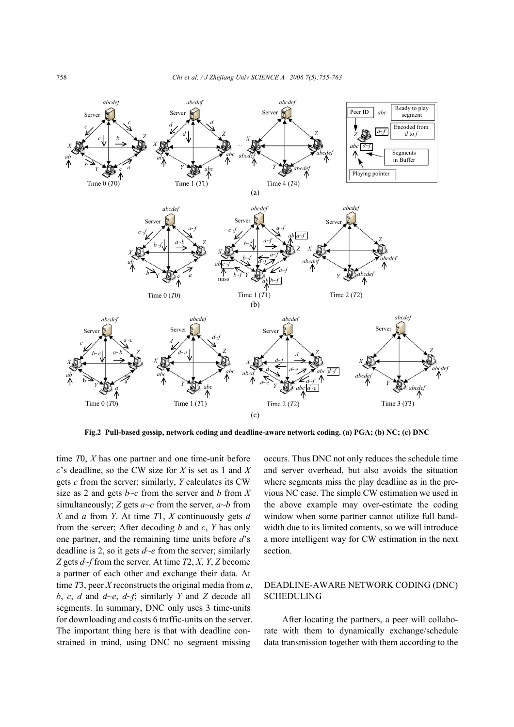

**Fig.2 Pull-based gossip, network coding and deadline-aware network coding. (a) PGA; (b) NC; (c) DNC**

time *T*0, *X* has one partner and one time-unit before *c*'s deadline, so the CW size for *X* is set as 1 and *X* gets *c* from the server; similarly, *Y* calculates its CW size as 2 and gets *b~c* from the server and *b* from *X* simultaneously; *Z* gets *a~c* from the server, *a~b* from *X* and *a* from *Y*. At time *T*1, *X* continuously gets *d* from the server; After decoding *b* and *c*, *Y* has only one partner, and the remaining time units before *d*'s deadline is 2, so it gets *d~e* from the server; similarly *Z* gets *d~f* from the server. At time *T*2, *X*, *Y*, *Z* become a partner of each other and exchange their data. At time *T*3, peer *X* reconstructs the original media from *a*, *b*, *c*, *d* and  $d \sim e$ ,  $d \sim f$ ; similarly *Y* and *Z* decode all segments. In summary, DNC only uses 3 time-units for downloading and costs 6 traffic-units on the server. The important thing here is that with deadline constrained in mind, using DNC no segment missing

occurs. Thus DNC not only reduces the schedule time and server overhead, but also avoids the situation where segments miss the play deadline as in the previous NC case. The simple CW estimation we used in the above example may over-estimate the coding window when some partner cannot utilize full bandwidth due to its limited contents, so we will introduce a more intelligent way for CW estimation in the next section.

# DEADLINE-AWARE NETWORK CODING (DNC) SCHEDULING

After locating the partners, a peer will collaborate with them to dynamically exchange/schedule data transmission together with them according to the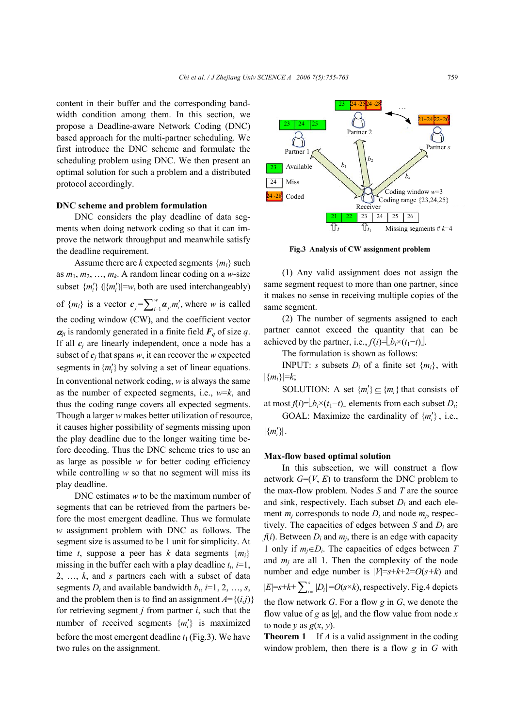content in their buffer and the corresponding bandwidth condition among them. In this section, we propose a Deadline-aware Network Coding (DNC) based approach for the multi-partner scheduling. We first introduce the DNC scheme and formulate the scheduling problem using DNC. We then present an optimal solution for such a problem and a distributed protocol accordingly.

### **DNC scheme and problem formulation**

DNC considers the play deadline of data segments when doing network coding so that it can improve the network throughput and meanwhile satisfy the deadline requirement.

Assume there are *k* expected segments {*mi*} such as  $m_1, m_2, \ldots, m_k$ . A random linear coding on a *w*-size subset  $\{m_i'\}\left(\frac{m_i'}{m_i'}\right)$  =w, both are used interchangeably) of  $\{m_i\}$  is a vector  $c_j = \sum_{i=1}^w \alpha_{ji} m'_i$ , where *w* is called the coding window (CW), and the coefficient vector  $\alpha_{ji}$  is randomly generated in a finite field  $\mathbf{F}_q$  of size q. If all  $c_i$  are linearly independent, once a node has a subset of  $c_j$  that spans  $w$ , it can recover the  $w$  expected segments in  $\{m'_i\}$  by solving a set of linear equations. In conventional network coding, *w* is always the same as the number of expected segments, i.e., *w*=*k*, and thus the coding range covers all expected segments. Though a larger *w* makes better utilization of resource, it causes higher possibility of segments missing upon the play deadline due to the longer waiting time before decoding. Thus the DNC scheme tries to use an as large as possible *w* for better coding efficiency while controlling *w* so that no segment will miss its play deadline.

DNC estimates *w* to be the maximum number of segments that can be retrieved from the partners before the most emergent deadline. Thus we formulate *w* assignment problem with DNC as follows. The segment size is assumed to be 1 unit for simplicity. At time *t*, suppose a peer has *k* data segments  ${m_i}$ missing in the buffer each with a play deadline  $t_i$ ,  $i=1$ , 2, …, *k*, and *s* partners each with a subset of data segments  $D_i$  and available bandwidth  $b_i$ ,  $i=1, 2, ..., s$ , and the problem then is to find an assignment  $A = \{(i,j)\}$ for retrieving segment *j* from partner *i*, such that the number of received segments  ${m<sub>i</sub>}$  is maximized before the most emergent deadline  $t_1$  (Fig.3). We have two rules on the assignment.



**Fig.3 Analysis of CW assignment problem** 

(1) Any valid assignment does not assign the same segment request to more than one partner, since it makes no sense in receiving multiple copies of the same segment.

(2) The number of segments assigned to each partner cannot exceed the quantity that can be achieved by the partner, i.e.,  $f(i) = b_i \times (t_1 - t)$ .

The formulation is shown as follows:

**INPUT:** *s* subsets  $D_i$  of a finite set  $\{m_i\}$ , with  $|\{m_i\}|=k$ ;

SOLUTION: A set  ${m'_i} \subseteq {m_i}$  that consists of at most  $f(i) = b_i × (t_1 - t)$  elements from each subset  $D_i$ ;

GOAL: Maximize the cardinality of  $\{m'_i\}$ , i.e.,  $|\{m_i'\}|$ .

## **Max-flow based optimal solution**

In this subsection, we will construct a flow network  $G=(V, E)$  to transform the DNC problem to the max-flow problem. Nodes *S* and *T* are the source and sink, respectively. Each subset  $D_i$  and each element *mj* corresponds to node *Di* and node *mj*, respectively. The capacities of edges between *S* and *Di* are  $f(i)$ . Between  $D_i$  and  $m_i$ , there is an edge with capacity 1 only if *mj*∈*Di*. The capacities of edges between *T* and  $m_i$  are all 1. Then the complexity of the node number and edge number is  $|V|=s+k+2=O(s+k)$  and  $|E|=s+k+\sum_{i=1}^s |D_i|=O(s\times k)$ , respectively. Fig.4 depicts the flow network *G*. For a flow *g* in *G*, we denote the flow value of *g* as  $|g|$ , and the flow value from node *x* to node *y* as  $g(x, y)$ .

**Theorem 1** If *A* is a valid assignment in the coding window problem, then there is a flow *g* in *G* with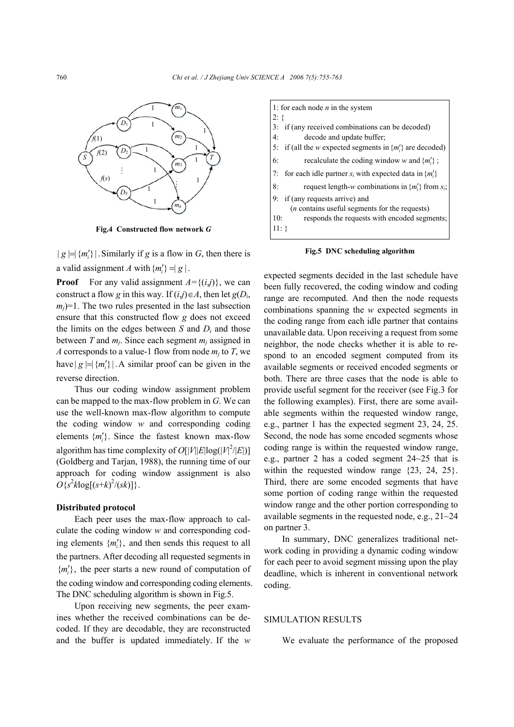

**Fig.4 Constructed flow network** *G*

 $| g | = \{m_i\}$ . Similarly if *g* is a flow in *G*, then there is a valid assignment *A* with  ${m'_i} = g$ .

**Proof** For any valid assignment  $A = \{(i,j)\}\)$ , we can construct a flow *g* in this way. If  $(i,j) \in A$ , then let  $g(D_i)$ ,  $m<sub>i</sub>$ )=1. The two rules presented in the last subsection ensure that this constructed flow *g* does not exceed the limits on the edges between  $S$  and  $D_i$  and those between *T* and *mj*. Since each segment *mj* assigned in *A* corresponds to a value-1 flow from node  $m_j$  to *T*, we have $|g| = \{m'\}\}\$ . A similar proof can be given in the reverse direction.

Thus our coding window assignment problem can be mapped to the max-flow problem in *G*. We can use the well-known max-flow algorithm to compute the coding window *w* and corresponding coding elements  $\{m_i'\}$ . Since the fastest known max-flow algorithm has time complexity of  $O[|V||E|\log(|V|^2/|E|)]$ (Goldberg and Tarjan, 1988), the running time of our approach for coding window assignment is also  $O{s^2klog[(s+k)^2/(sk)]}.$ 

#### **Distributed protocol**

Each peer uses the max-flow approach to calculate the coding window *w* and corresponding coding elements  $\{m'_i\}$ , and then sends this request to all the partners. After decoding all requested segments in  ${m'_i}$ , the peer starts a new round of computation of the coding window and corresponding coding elements. The DNC scheduling algorithm is shown in Fig.5.

Upon receiving new segments, the peer examines whether the received combinations can be decoded. If they are decodable, they are reconstructed and the buffer is updated immediately. If the *w*



**Fig.5 DNC scheduling algorithm** 

expected segments decided in the last schedule have been fully recovered, the coding window and coding range are recomputed. And then the node requests combinations spanning the *w* expected segments in the coding range from each idle partner that contains unavailable data. Upon receiving a request from some neighbor, the node checks whether it is able to respond to an encoded segment computed from its available segments or received encoded segments or both. There are three cases that the node is able to provide useful segment for the receiver (see Fig.3 for the following examples). First, there are some available segments within the requested window range, e.g., partner 1 has the expected segment 23, 24, 25. Second, the node has some encoded segments whose coding range is within the requested window range, e.g., partner 2 has a coded segment 24~25 that is within the requested window range  $\{23, 24, 25\}$ . Third, there are some encoded segments that have some portion of coding range within the requested window range and the other portion corresponding to available segments in the requested node, e.g., 21~24 on partner 3.

In summary, DNC generalizes traditional network coding in providing a dynamic coding window for each peer to avoid segment missing upon the play deadline, which is inherent in conventional network coding.

# SIMULATION RESULTS

We evaluate the performance of the proposed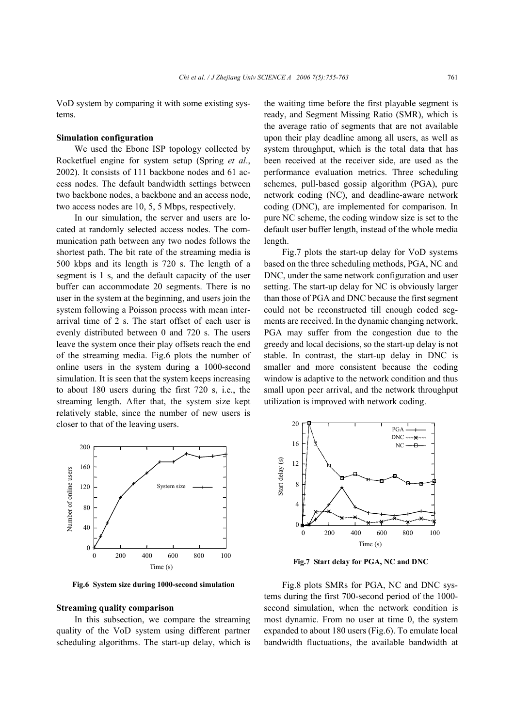VoD system by comparing it with some existing systems.

# **Simulation configuration**

We used the Ebone ISP topology collected by Rocketfuel engine for system setup (Spring *et al*., 2002). It consists of 111 backbone nodes and 61 access nodes. The default bandwidth settings between two backbone nodes, a backbone and an access node, two access nodes are 10, 5, 5 Mbps, respectively.

In our simulation, the server and users are located at randomly selected access nodes. The communication path between any two nodes follows the shortest path. The bit rate of the streaming media is 500 kbps and its length is 720 s. The length of a segment is 1 s, and the default capacity of the user buffer can accommodate 20 segments. There is no user in the system at the beginning, and users join the system following a Poisson process with mean interarrival time of 2 s. The start offset of each user is evenly distributed between 0 and 720 s. The users leave the system once their play offsets reach the end of the streaming media. Fig.6 plots the number of online users in the system during a 1000-second simulation. It is seen that the system keeps increasing to about 180 users during the first 720 s, i.e., the streaming length. After that, the system size kept relatively stable, since the number of new users is closer to that of the leaving users.



**Fig.6 System size during 1000-second simulation** 

## **Streaming quality comparison**

In this subsection, we compare the streaming quality of the VoD system using different partner scheduling algorithms. The start-up delay, which is

the waiting time before the first playable segment is ready, and Segment Missing Ratio (SMR), which is the average ratio of segments that are not available upon their play deadline among all users, as well as system throughput, which is the total data that has been received at the receiver side, are used as the performance evaluation metrics. Three scheduling schemes, pull-based gossip algorithm (PGA), pure network coding (NC), and deadline-aware network coding (DNC), are implemented for comparison. In pure NC scheme, the coding window size is set to the default user buffer length, instead of the whole media length.

Fig.7 plots the start-up delay for VoD systems based on the three scheduling methods, PGA, NC and DNC, under the same network configuration and user setting. The start-up delay for NC is obviously larger than those of PGA and DNC because the first segment could not be reconstructed till enough coded segments are received. In the dynamic changing network, PGA may suffer from the congestion due to the greedy and local decisions, so the start-up delay is not stable. In contrast, the start-up delay in DNC is smaller and more consistent because the coding window is adaptive to the network condition and thus small upon peer arrival, and the network throughput utilization is improved with network coding.



**Fig.7 Start delay for PGA, NC and DNC** 

Fig.8 plots SMRs for PGA, NC and DNC systems during the first 700-second period of the 1000 second simulation, when the network condition is most dynamic. From no user at time 0, the system expanded to about 180 users (Fig.6). To emulate local bandwidth fluctuations, the available bandwidth at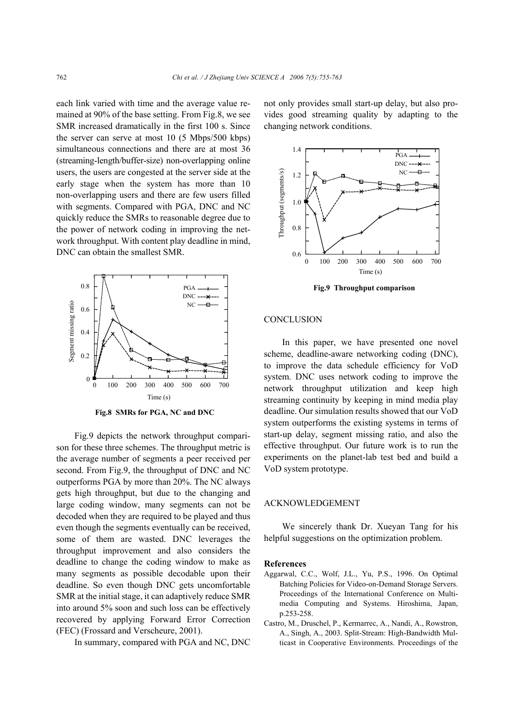each link varied with time and the average value remained at 90% of the base setting. From Fig.8, we see SMR increased dramatically in the first 100 s. Since the server can serve at most 10 (5 Mbps/500 kbps) simultaneous connections and there are at most 36 (streaming-length/buffer-size) non-overlapping online users, the users are congested at the server side at the early stage when the system has more than 10 non-overlapping users and there are few users filled with segments. Compared with PGA, DNC and NC quickly reduce the SMRs to reasonable degree due to the power of network coding in improving the network throughput. With content play deadline in mind, DNC can obtain the smallest SMR.



**Fig.8 SMRs for PGA, NC and DNC** 

Fig.9 depicts the network throughput comparison for these three schemes. The throughput metric is the average number of segments a peer received per second. From Fig.9, the throughput of DNC and NC outperforms PGA by more than 20%. The NC always gets high throughput, but due to the changing and large coding window, many segments can not be decoded when they are required to be played and thus even though the segments eventually can be received, some of them are wasted. DNC leverages the throughput improvement and also considers the deadline to change the coding window to make as many segments as possible decodable upon their deadline. So even though DNC gets uncomfortable SMR at the initial stage, it can adaptively reduce SMR into around 5% soon and such loss can be effectively recovered by applying Forward Error Correction (FEC) (Frossard and Verscheure, 2001).

In summary, compared with PGA and NC, DNC

not only provides small start-up delay, but also provides good streaming quality by adapting to the changing network conditions.



**Fig.9 Throughput comparison** 

# **CONCLUSION**

In this paper, we have presented one novel scheme, deadline-aware networking coding (DNC), to improve the data schedule efficiency for VoD system. DNC uses network coding to improve the network throughput utilization and keep high streaming continuity by keeping in mind media play deadline. Our simulation results showed that our VoD system outperforms the existing systems in terms of start-up delay, segment missing ratio, and also the effective throughput. Our future work is to run the experiments on the planet-lab test bed and build a VoD system prototype.

# ACKNOWLEDGEMENT

We sincerely thank Dr. Xueyan Tang for his helpful suggestions on the optimization problem.

#### **References**

- Aggarwal, C.C., Wolf, J.L., Yu, P.S., 1996. On Optimal Batching Policies for Video-on-Demand Storage Servers. Proceedings of the International Conference on Multimedia Computing and Systems. Hiroshima, Japan, p.253-258.
- Castro, M., Druschel, P., Kermarrec, A., Nandi, A., Rowstron, A., Singh, A., 2003. Split-Stream: High-Bandwidth Multicast in Cooperative Environments. Proceedings of the